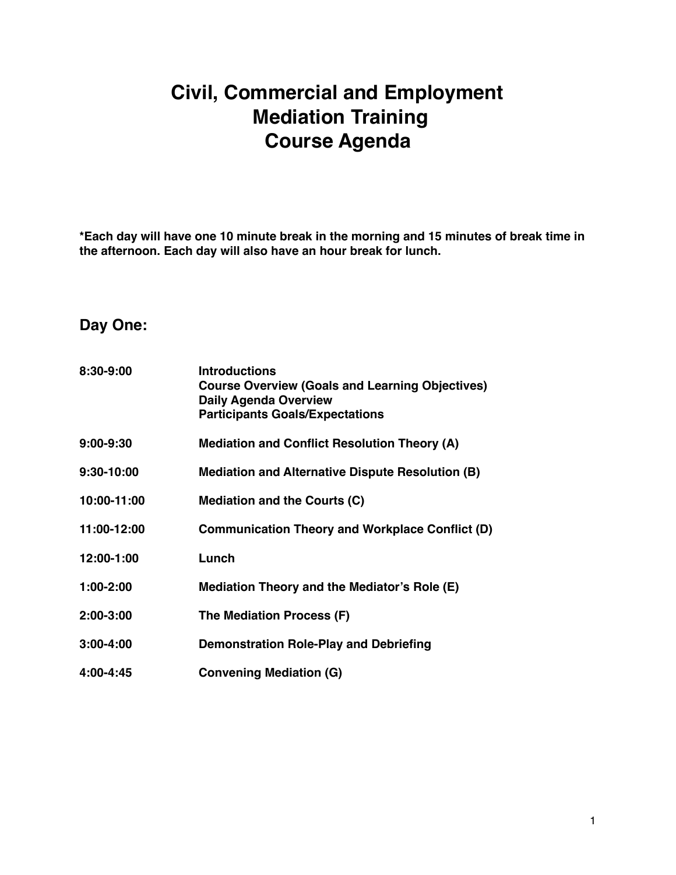## **Civil, Commercial and Employment Mediation Training Course Agenda**

**\*Each day will have one 10 minute break in the morning and 15 minutes of break time in the afternoon. Each day will also have an hour break for lunch.** 

## **Day One:**

| 8:30-9:00   | <b>Introductions</b><br><b>Course Overview (Goals and Learning Objectives)</b><br><b>Daily Agenda Overview</b><br><b>Participants Goals/Expectations</b> |
|-------------|----------------------------------------------------------------------------------------------------------------------------------------------------------|
| 9:00-9:30   | <b>Mediation and Conflict Resolution Theory (A)</b>                                                                                                      |
| 9:30-10:00  | <b>Mediation and Alternative Dispute Resolution (B)</b>                                                                                                  |
| 10:00-11:00 | Mediation and the Courts (C)                                                                                                                             |
| 11:00-12:00 | <b>Communication Theory and Workplace Conflict (D)</b>                                                                                                   |
| 12:00-1:00  | Lunch                                                                                                                                                    |
| $1:00-2:00$ | Mediation Theory and the Mediator's Role (E)                                                                                                             |
| 2:00-3:00   | The Mediation Process (F)                                                                                                                                |
| 3:00-4:00   | <b>Demonstration Role-Play and Debriefing</b>                                                                                                            |
| 4:00-4:45   | <b>Convening Mediation (G)</b>                                                                                                                           |